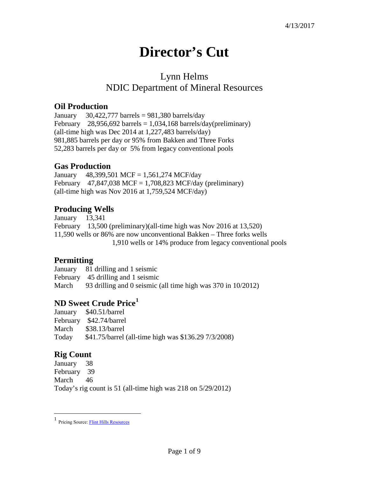# **Director's Cut**

## Lynn Helms NDIC Department of Mineral Resources

#### **Oil Production**

January  $30,422,777$  barrels = 981,380 barrels/day February 28,956,692 barrels =  $1,034,168$  barrels/day(preliminary) (all-time high was Dec 2014 at 1,227,483 barrels/day) 981,885 barrels per day or 95% from Bakken and Three Forks 52,283 barrels per day or 5% from legacy conventional pools

#### **Gas Production**

January 48,399,501 MCF = 1,561,274 MCF/day February 47,847,038 MCF = 1,708,823 MCF/day (preliminary) (all-time high was Nov 2016 at 1,759,524 MCF/day)

#### **Producing Wells**

January 13,341 February 13,500 (preliminary)(all-time high was Nov 2016 at 13,520) 11,590 wells or 86% are now unconventional Bakken – Three forks wells 1,910 wells or 14% produce from legacy conventional pools

#### **Permitting**

January 81 drilling and 1 seismic February 45 drilling and 1 seismic March 93 drilling and 0 seismic (all time high was 370 in 10/2012)

## **ND Sweet Crude Price[1](#page-0-0)**

|       | January \$40.51/barrel                               |
|-------|------------------------------------------------------|
|       | February \$42.74/barrel                              |
| March | \$38.13/barrel                                       |
| Today | \$41.75/barrel (all-time high was \$136.29 7/3/2008) |

## **Rig Count**

 $\overline{a}$ 

January 38 February 39 March 46 Today's rig count is 51 (all-time high was 218 on 5/29/2012)

<span id="page-0-0"></span><sup>1</sup> Pricing Source[: Flint Hills Resources](http://www.fhr.com/refining/bulletins.aspx?AspxAutoDetectCookieSupport=1)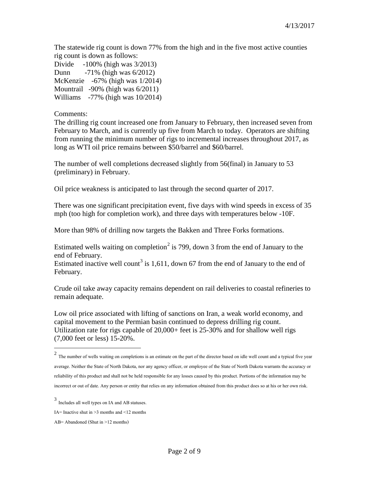The statewide rig count is down 77% from the high and in the five most active counties rig count is down as follows:

Divide -100% (high was 3/2013) Dunn -71% (high was 6/2012) McKenzie -67% (high was 1/2014) Mountrail -90% (high was 6/2011) Williams -77% (high was 10/2014)

#### Comments:

The drilling rig count increased one from January to February, then increased seven from February to March, and is currently up five from March to today. Operators are shifting from running the minimum number of rigs to incremental increases throughout 2017, as long as WTI oil price remains between \$50/barrel and \$60/barrel.

The number of well completions decreased slightly from 56(final) in January to 53 (preliminary) in February.

Oil price weakness is anticipated to last through the second quarter of 2017.

There was one significant precipitation event, five days with wind speeds in excess of 35 mph (too high for completion work), and three days with temperatures below -10F.

More than 98% of drilling now targets the Bakken and Three Forks formations.

Estimated wells waiting on completion<sup>[2](#page-1-0)</sup> is 799, down 3 from the end of January to the end of February.

Estimated inactive well count<sup>[3](#page-1-1)</sup> is 1,611, down 67 from the end of January to the end of February.

Crude oil take away capacity remains dependent on rail deliveries to coastal refineries to remain adequate.

Low oil price associated with lifting of sanctions on Iran, a weak world economy, and capital movement to the Permian basin continued to depress drilling rig count. Utilization rate for rigs capable of 20,000+ feet is 25-30% and for shallow well rigs (7,000 feet or less) 15-20%.

 $\overline{a}$ 

<span id="page-1-0"></span> $2$  The number of wells waiting on completions is an estimate on the part of the director based on idle well count and a typical five year average. Neither the State of North Dakota, nor any agency officer, or employee of the State of North Dakota warrants the accuracy or reliability of this product and shall not be held responsible for any losses caused by this product. Portions of the information may be incorrect or out of date. Any person or entity that relies on any information obtained from this product does so at his or her own risk.

<span id="page-1-1"></span><sup>3</sup> Includes all well types on IA and AB statuses.

IA= Inactive shut in  $\geq$ 3 months and  $\leq$ 12 months

AB= Abandoned (Shut in >12 months)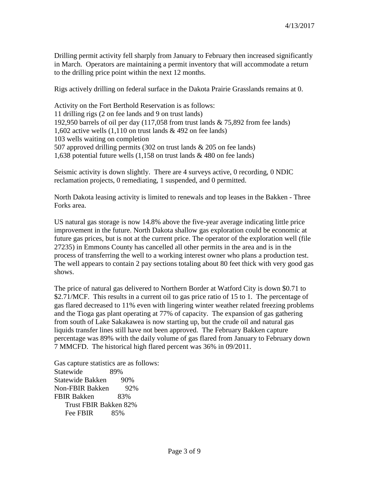Drilling permit activity fell sharply from January to February then increased significantly in March. Operators are maintaining a permit inventory that will accommodate a return to the drilling price point within the next 12 months.

Rigs actively drilling on federal surface in the Dakota Prairie Grasslands remains at 0.

Activity on the Fort Berthold Reservation is as follows: 11 drilling rigs (2 on fee lands and 9 on trust lands) 192,950 barrels of oil per day (117,058 from trust lands & 75,892 from fee lands) 1,602 active wells (1,110 on trust lands & 492 on fee lands) 103 wells waiting on completion 507 approved drilling permits (302 on trust lands & 205 on fee lands) 1,638 potential future wells (1,158 on trust lands & 480 on fee lands)

Seismic activity is down slightly. There are 4 surveys active, 0 recording, 0 NDIC reclamation projects, 0 remediating, 1 suspended, and 0 permitted.

North Dakota leasing activity is limited to renewals and top leases in the Bakken - Three Forks area.

US natural gas storage is now 14.8% above the five-year average indicating little price improvement in the future. North Dakota shallow gas exploration could be economic at future gas prices, but is not at the current price. The operator of the exploration well (file 27235) in Emmons County has cancelled all other permits in the area and is in the process of transferring the well to a working interest owner who plans a production test. The well appears to contain 2 pay sections totaling about 80 feet thick with very good gas shows.

The price of natural gas delivered to Northern Border at Watford City is down \$0.71 to \$2.71/MCF. This results in a current oil to gas price ratio of 15 to 1. The percentage of gas flared decreased to 11% even with lingering winter weather related freezing problems and the Tioga gas plant operating at 77% of capacity. The expansion of gas gathering from south of Lake Sakakawea is now starting up, but the crude oil and natural gas liquids transfer lines still have not been approved. The February Bakken capture percentage was 89% with the daily volume of gas flared from January to February down 7 MMCFD. The historical high flared percent was 36% in 09/2011.

Gas capture statistics are as follows: Statewide 89% Statewide Bakken 90% Non-FBIR Bakken 92% FBIR Bakken 83% Trust FBIR Bakken 82% Fee FBIR 85%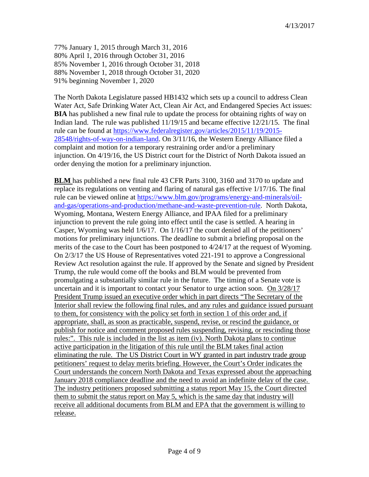77% January 1, 2015 through March 31, 2016 80% April 1, 2016 through October 31, 2016 85% November 1, 2016 through October 31, 2018 88% November 1, 2018 through October 31, 2020 91% beginning November 1, 2020

The North Dakota Legislature passed HB1432 which sets up a council to address Clean Water Act, Safe Drinking Water Act, Clean Air Act, and Endangered Species Act issues: **BIA** has published a new final rule to update the process for obtaining rights of way on Indian land. The rule was published 11/19/15 and became effective 12/21/15. The final rule can be found at [https://www.federalregister.gov/articles/2015/11/19/2015-](https://www.federalregister.gov/articles/2015/11/19/2015-28548/rights-of-way-on-indian-land) [28548/rights-of-way-on-indian-land.](https://www.federalregister.gov/articles/2015/11/19/2015-28548/rights-of-way-on-indian-land) On 3/11/16, the Western Energy Alliance filed a complaint and motion for a temporary restraining order and/or a preliminary injunction. On 4/19/16, the US District court for the District of North Dakota issued an order denying the motion for a preliminary injunction.

**BLM** has published a new final rule 43 CFR Parts 3100, 3160 and 3170 to update and replace its regulations on venting and flaring of natural gas effective 1/17/16. The final rule can be viewed online at [https://www.blm.gov/programs/energy-and-minerals/oil](https://www.blm.gov/programs/energy-and-minerals/oil-and-gas/operations-and-production/methane-and-waste-prevention-rule)[and-gas/operations-and-production/methane-and-waste-prevention-rule.](https://www.blm.gov/programs/energy-and-minerals/oil-and-gas/operations-and-production/methane-and-waste-prevention-rule) North Dakota, Wyoming, Montana, Western Energy Alliance, and IPAA filed for a preliminary injunction to prevent the rule going into effect until the case is settled. A hearing in Casper, Wyoming was held 1/6/17. On 1/16/17 the court denied all of the petitioners' motions for preliminary injunctions. The deadline to submit a briefing proposal on the merits of the case to the Court has been postponed to 4/24/17 at the request of Wyoming. On 2/3/17 the US House of Representatives voted 221-191 to approve a Congressional Review Act resolution against the rule. If approved by the Senate and signed by President Trump, the rule would come off the books and BLM would be prevented from promulgating a substantially similar rule in the future. The timing of a Senate vote is uncertain and it is important to contact your Senator to urge action soon. On 3/28/17 President Trump issued an executive order which in part directs "The Secretary of the Interior shall review the following final rules, and any rules and guidance issued pursuant to them, for consistency with the policy set forth in section 1 of this order and, if appropriate, shall, as soon as practicable, suspend, revise, or rescind the guidance, or publish for notice and comment proposed rules suspending, revising, or rescinding those rules:". This rule is included in the list as item (iv). North Dakota plans to continue active participation in the litigation of this rule until the BLM takes final action eliminating the rule. The US District Court in WY granted in part industry trade group petitioners' request to delay merits briefing. However, the Court's Order indicates the Court understands the concern North Dakota and Texas expressed about the approaching January 2018 compliance deadline and the need to avoid an indefinite delay of the case. The industry petitioners proposed submitting a status report May 15, the Court directed them to submit the status report on May 5, which is the same day that industry will receive all additional documents from BLM and EPA that the government is willing to release.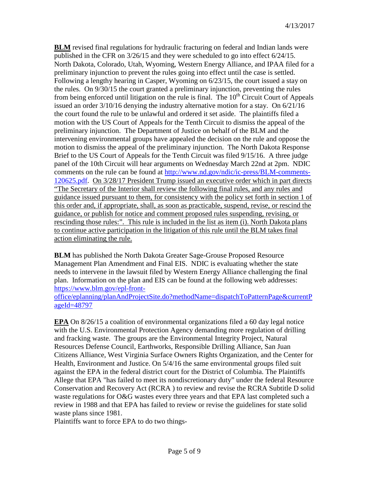**BLM** revised final regulations for hydraulic fracturing on federal and Indian lands were published in the CFR on 3/26/15 and they were scheduled to go into effect 6/24/15. North Dakota, Colorado, Utah, Wyoming, Western Energy Alliance, and IPAA filed for a preliminary injunction to prevent the rules going into effect until the case is settled. Following a lengthy hearing in Casper, Wyoming on 6/23/15, the court issued a stay on the rules. On 9/30/15 the court granted a preliminary injunction, preventing the rules from being enforced until litigation on the rule is final. The  $10<sup>th</sup>$  Circuit Court of Appeals issued an order 3/10/16 denying the industry alternative motion for a stay. On 6/21/16 the court found the rule to be unlawful and ordered it set aside. The plaintiffs filed a motion with the US Court of Appeals for the Tenth Circuit to dismiss the appeal of the preliminary injunction. The Department of Justice on behalf of the BLM and the intervening environmental groups have appealed the decision on the rule and oppose the motion to dismiss the appeal of the preliminary injunction. The North Dakota Response Brief to the US Court of Appeals for the Tenth Circuit was filed 9/15/16. A three judge panel of the 10th Circuit will hear arguments on Wednesday March 22nd at 2pm. NDIC comments on the rule can be found at [http://www.nd.gov/ndic/ic-press/BLM-comments-](http://www.nd.gov/ndic/ic-press/BLM-comments-120625.pdf)[120625.pdf.](http://www.nd.gov/ndic/ic-press/BLM-comments-120625.pdf) On 3/28/17 President Trump issued an executive order which in part directs "The Secretary of the Interior shall review the following final rules, and any rules and guidance issued pursuant to them, for consistency with the policy set forth in section 1 of this order and, if appropriate, shall, as soon as practicable, suspend, revise, or rescind the guidance, or publish for notice and comment proposed rules suspending, revising, or rescinding those rules:". This rule is included in the list as item (i). North Dakota plans to continue active participation in the litigation of this rule until the BLM takes final action eliminating the rule.

**BLM** has published the North Dakota Greater Sage-Grouse Proposed Resource Management Plan Amendment and Final EIS. NDIC is evaluating whether the state needs to intervene in the lawsuit filed by Western Energy Alliance challenging the final plan. Information on the plan and EIS can be found at the following web addresses: [https://www.blm.gov/epl-front-](https://www.blm.gov/epl-front-office/eplanning/planAndProjectSite.do?methodName=dispatchToPatternPage¤tPageId=48797)

[office/eplanning/planAndProjectSite.do?methodName=dispatchToPatternPage&currentP](https://www.blm.gov/epl-front-office/eplanning/planAndProjectSite.do?methodName=dispatchToPatternPage¤tPageId=48797) [ageId=48797](https://www.blm.gov/epl-front-office/eplanning/planAndProjectSite.do?methodName=dispatchToPatternPage¤tPageId=48797)

**EPA** On 8/26/15 a coalition of environmental organizations filed a 60 day legal notice with the U.S. Environmental Protection Agency demanding more regulation of drilling and fracking waste. The groups are the Environmental Integrity Project, Natural Resources Defense Council, Earthworks, Responsible Drilling Alliance, San Juan Citizens Alliance, West Virginia Surface Owners Rights Organization, and the Center for Health, Environment and Justice. On 5/4/16 the same environmental groups filed suit against the EPA in the federal district court for the District of Columbia. The Plaintiffs Allege that EPA "has failed to meet its nondiscretionary duty" under the federal Resource Conservation and Recovery Act (RCRA ) to review and revise the RCRA Subtitle D solid waste regulations for O&G wastes every three years and that EPA last completed such a review in 1988 and that EPA has failed to review or revise the guidelines for state solid waste plans since 1981.

Plaintiffs want to force EPA to do two things-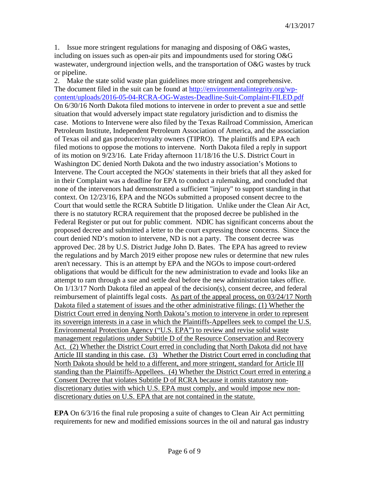1. Issue more stringent regulations for managing and disposing of O&G wastes, including on issues such as open-air pits and impoundments used for storing O&G wastewater, underground injection wells, and the transportation of O&G wastes by truck or pipeline.

2. Make the state solid waste plan guidelines more stringent and comprehensive. The document filed in the suit can be found at [http://environmentalintegrity.org/wp](http://environmentalintegrity.org/wp-content/uploads/2016-05-04-RCRA-OG-Wastes-Deadline-Suit-Complaint-FILED.pdf)[content/uploads/2016-05-04-RCRA-OG-Wastes-Deadline-Suit-Complaint-FILED.pdf](http://environmentalintegrity.org/wp-content/uploads/2016-05-04-RCRA-OG-Wastes-Deadline-Suit-Complaint-FILED.pdf) On 6/30/16 North Dakota filed motions to intervene in order to prevent a sue and settle situation that would adversely impact state regulatory jurisdiction and to dismiss the case. Motions to Intervene were also filed by the Texas Railroad Commission, American Petroleum Institute, Independent Petroleum Association of America, and the association of Texas oil and gas producer/royalty owners (TIPRO). The plaintiffs and EPA each filed motions to oppose the motions to intervene. North Dakota filed a reply in support of its motion on 9/23/16. Late Friday afternoon 11/18/16 the U.S. District Court in Washington DC denied North Dakota and the two industry association's Motions to Intervene. The Court accepted the NGOs' statements in their briefs that all they asked for in their Complaint was a deadline for EPA to conduct a rulemaking, and concluded that none of the intervenors had demonstrated a sufficient "injury" to support standing in that context. On 12/23/16, EPA and the NGOs submitted a proposed consent decree to the Court that would settle the RCRA Subtitle D litigation. Unlike under the Clean Air Act, there is no statutory RCRA requirement that the proposed decree be published in the Federal Register or put out for public comment. NDIC has significant concerns about the proposed decree and submitted a letter to the court expressing those concerns. Since the court denied ND's motion to intervene, ND is not a party. The consent decree was approved Dec. 28 by U.S. District Judge John D. Bates. The EPA has agreed to review the regulations and by March 2019 either propose new rules or determine that new rules aren't necessary. This is an attempt by EPA and the NGOs to impose court-ordered obligations that would be difficult for the new administration to evade and looks like an attempt to ram through a sue and settle deal before the new administration takes office. On 1/13/17 North Dakota filed an appeal of the decision(s), consent decree, and federal reimbursement of plaintiffs legal costs. As part of the appeal process, on 03/24/17 North Dakota filed a statement of issues and the other administrative filings: (1) Whether the District Court erred in denying North Dakota's motion to intervene in order to represent its sovereign interests in a case in which the Plaintiffs-Appellees seek to compel the U.S. Environmental Protection Agency ("U.S. EPA") to review and revise solid waste management regulations under Subtitle D of the Resource Conservation and Recovery Act. (2) Whether the District Court erred in concluding that North Dakota did not have Article III standing in this case. (3) Whether the District Court erred in concluding that North Dakota should be held to a different, and more stringent, standard for Article III standing than the Plaintiffs-Appellees. (4) Whether the District Court erred in entering a Consent Decree that violates Subtitle D of RCRA because it omits statutory nondiscretionary duties with which U.S. EPA must comply, and would impose new nondiscretionary duties on U.S. EPA that are not contained in the statute.

**EPA** On 6/3/16 the final rule proposing a suite of changes to Clean Air Act permitting requirements for new and modified emissions sources in the oil and natural gas industry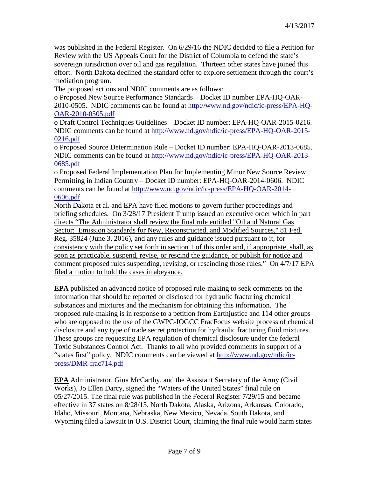was published in the Federal Register. On 6/29/16 the NDIC decided to file a Petition for Review with the US Appeals Court for the District of Columbia to defend the state's sovereign jurisdiction over oil and gas regulation. Thirteen other states have joined this effort. North Dakota declined the standard offer to explore settlement through the court's mediation program.

The proposed actions and NDIC comments are as follows:

o Proposed New Source Performance Standards – Docket ID number EPA-HQ-OAR-2010-0505. NDIC comments can be found at [http://www.nd.gov/ndic/ic-press/EPA-HQ-](http://www.nd.gov/ndic/ic-press/EPA-HQ-OAR-2010-0505.pdf)

#### [OAR-2010-0505.pdf](http://www.nd.gov/ndic/ic-press/EPA-HQ-OAR-2010-0505.pdf)

o Draft Control Techniques Guidelines – Docket ID number: EPA-HQ-OAR-2015-0216. NDIC comments can be found at [http://www.nd.gov/ndic/ic-press/EPA-HQ-OAR-2015-](http://www.nd.gov/ndic/ic-press/EPA-HQ-OAR-2015-0216.pdf) [0216.pdf](http://www.nd.gov/ndic/ic-press/EPA-HQ-OAR-2015-0216.pdf)

o Proposed Source Determination Rule – Docket ID number: EPA-HQ-OAR-2013-0685. NDIC comments can be found at [http://www.nd.gov/ndic/ic-press/EPA-HQ-OAR-2013-](http://www.nd.gov/ndic/ic-press/EPA-HQ-OAR-2013-0685.pdf) [0685.pdf](http://www.nd.gov/ndic/ic-press/EPA-HQ-OAR-2013-0685.pdf)

o Proposed Federal Implementation Plan for Implementing Minor New Source Review Permitting in Indian Country – Docket ID number: EPA-HQ-OAR-2014-0606. NDIC comments can be found at [http://www.nd.gov/ndic/ic-press/EPA-HQ-OAR-2014-](http://www.nd.gov/ndic/ic-press/EPA-HQ-OAR-2014-0606.pdf) [0606.pdf.](http://www.nd.gov/ndic/ic-press/EPA-HQ-OAR-2014-0606.pdf)

North Dakota et al. and EPA have filed motions to govern further proceedings and briefing schedules. On 3/28/17 President Trump issued an executive order which in part directs "The Administrator shall review the final rule entitled "Oil and Natural Gas Sector: Emission Standards for New, Reconstructed, and Modified Sources," 81 Fed. Reg. 35824 (June 3, 2016), and any rules and guidance issued pursuant to it, for consistency with the policy set forth in section 1 of this order and, if appropriate, shall, as soon as practicable, suspend, revise, or rescind the guidance, or publish for notice and comment proposed rules suspending, revising, or rescinding those rules." On 4/7/17 EPA filed a motion to hold the cases in abeyance.

**EPA** published an advanced notice of proposed rule-making to seek comments on the information that should be reported or disclosed for hydraulic fracturing chemical substances and mixtures and the mechanism for obtaining this information. The proposed rule-making is in response to a petition from Earthjustice and 114 other groups who are opposed to the use of the GWPC-IOGCC FracFocus website process of chemical disclosure and any type of trade secret protection for hydraulic fracturing fluid mixtures. These groups are requesting EPA regulation of chemical disclosure under the federal Toxic Substances Control Act. Thanks to all who provided comments in support of a "states first" policy. NDIC comments can be viewed at [http://www.nd.gov/ndic/ic](http://www.nd.gov/ndic/ic-press/DMR-frac714.pdf)[press/DMR-frac714.pdf](http://www.nd.gov/ndic/ic-press/DMR-frac714.pdf)

**EPA** Administrator, Gina McCarthy, and the Assistant Secretary of the Army (Civil Works), Jo Ellen Darcy, signed the "Waters of the United States" final rule on 05/27/2015. The final rule was published in the Federal Register 7/29/15 and became effective in 37 states on 8/28/15. North Dakota, Alaska, Arizona, Arkansas, Colorado, Idaho, Missouri, Montana, Nebraska, New Mexico, Nevada, South Dakota, and Wyoming filed a lawsuit in U.S. District Court, claiming the final rule would harm states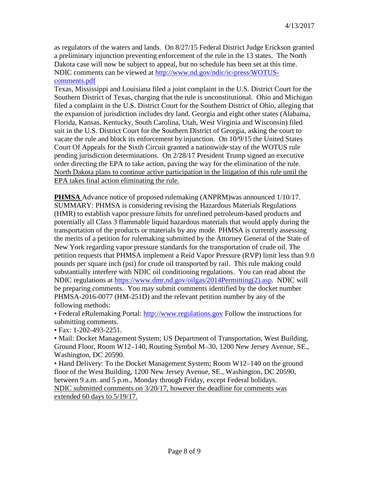as regulators of the waters and lands. On 8/27/15 Federal District Judge Erickson granted a preliminary injunction preventing enforcement of the rule in the 13 states. The North Dakota case will now be subject to appeal, but no schedule has been set at this time. NDIC comments can be viewed at [http://www.nd.gov/ndic/ic-press/WOTUS](http://www.nd.gov/ndic/ic-press/WOTUS-comments.pdf)[comments.pdf](http://www.nd.gov/ndic/ic-press/WOTUS-comments.pdf)

Texas, Mississippi and Louisiana filed a joint complaint in the U.S. District Court for the Southern District of Texas, charging that the rule is unconstitutional. Ohio and Michigan filed a complaint in the U.S. District Court for the Southern District of Ohio, alleging that the expansion of jurisdiction includes dry land. Georgia and eight other states (Alabama, Florida, Kansas, Kentucky, South Carolina, Utah, West Virginia and Wisconsin) filed suit in the U.S. District Court for the Southern District of Georgia, asking the court to vacate the rule and block its enforcement by injunction. On 10/9/15 the United States Court Of Appeals for the Sixth Circuit granted a nationwide stay of the WOTUS rule pending jurisdiction determinations. On 2/28/17 President Trump signed an executive order directing the EPA to take action, paving the way for the elimination of the rule. North Dakota plans to continue active participation in the litigation of this rule until the EPA takes final action eliminating the rule.

**PHMSA** Advance notice of proposed rulemaking (ANPRM)was announced 1/10/17. SUMMARY: PHMSA is considering revising the Hazardous Materials Regulations (HMR) to establish vapor pressure limits for unrefined petroleum-based products and potentially all Class 3 flammable liquid hazardous materials that would apply during the transportation of the products or materials by any mode. PHMSA is currently assessing the merits of a petition for rulemaking submitted by the Attorney General of the State of New York regarding vapor pressure standards for the transportation of crude oil. The petition requests that PHMSA implement a Reid Vapor Pressure (RVP) limit less than 9.0 pounds per square inch (psi) for crude oil transported by rail. This rule making could substantially interfere with NDIC oil conditioning regulations. You can read about the NDIC regulations at [https://www.dmr.nd.gov/oilgas/2014Permitting\(2\).asp.](https://www.dmr.nd.gov/oilgas/2014Permitting(2).asp) NDIC will be preparing comments. You may submit comments identified by the docket number PHMSA-2016-0077 (HM-251D) and the relevant petition number by any of the following methods:

• Federal eRulemaking Portal: [http://www.regulations.gov](http://www.regulations.gov/) Follow the instructions for submitting comments.

• Fax: 1-202-493-2251.

• Mail: Docket Management System; US Department of Transportation, West Building, Ground Floor, Room W12–140, Routing Symbol M–30, 1200 New Jersey Avenue, SE., Washington, DC 20590.

• Hand Delivery: To the Docket Management System; Room W12–140 on the ground floor of the West Building, 1200 New Jersey Avenue, SE., Washington, DC 20590, between 9 a.m. and 5 p.m., Monday through Friday, except Federal holidays. NDIC submitted comments on 3/20/17, however the deadline for comments was

extended 60 days to 5/19/17.